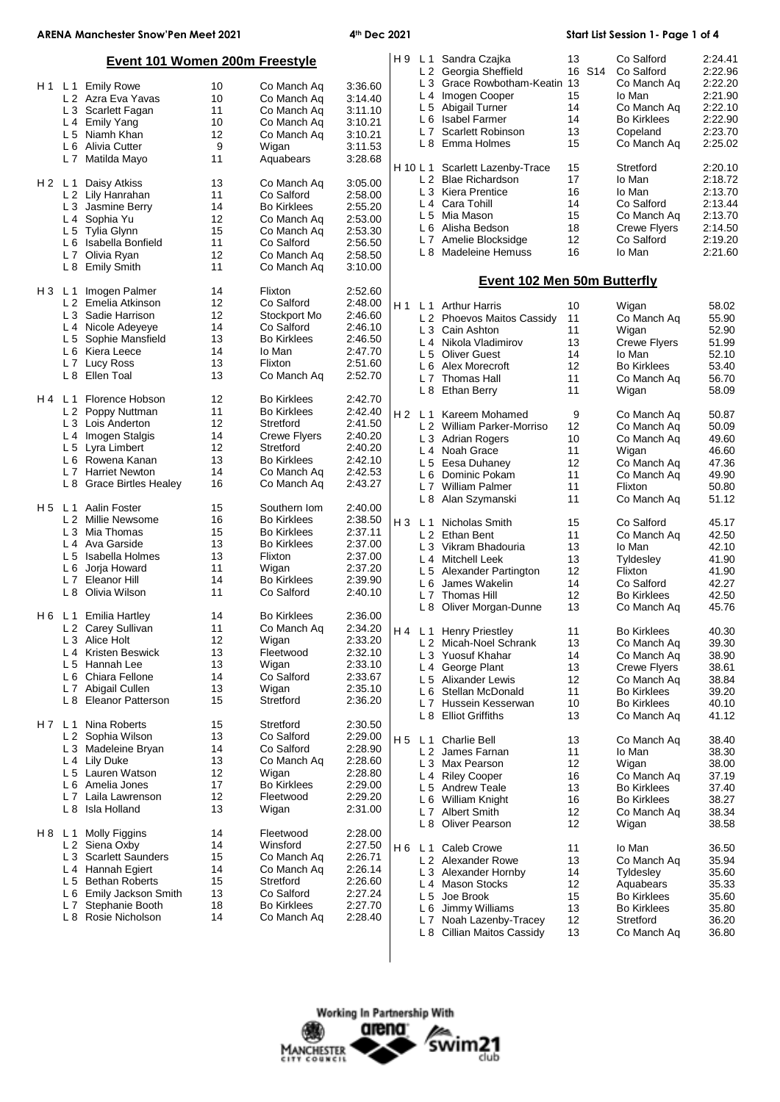# **ARENA Manchester Snow'Pen Meet 2021 4th Dec 2021 Start List Session 1- Page 1 of 4**

| <b>Event 101 Women 200m Freestyle</b> |                |                              |    |                     |         |                |                | H 9 L 1 Sandra Czajka<br>L 2 Georgia Sheffield | 13<br>16 S14 | Co Salford<br>Co Salford | 2:24.41<br>2:22.96 |
|---------------------------------------|----------------|------------------------------|----|---------------------|---------|----------------|----------------|------------------------------------------------|--------------|--------------------------|--------------------|
|                                       |                | H1 L1 Emily Rowe             | 10 | Co Manch Ag         | 3:36.60 |                |                | L 3 Grace Rowbotham-Keatin 13                  |              | Co Manch Aq              | 2:22.20            |
|                                       |                | L 2 Azra Eva Yavas           | 10 | Co Manch Aq         | 3:14.40 |                |                | L 4 Imogen Cooper                              | 15           | lo Man                   | 2:21.90            |
|                                       |                | L 3 Scarlett Fagan           | 11 | Co Manch Aq         | 3:11.10 |                |                | L 5 Abigail Turner                             | 14           | Co Manch Aq              | 2:22.10            |
|                                       |                | L 4 Emily Yang               | 10 | Co Manch Aq         | 3:10.21 |                |                | L 6 Isabel Farmer                              | 14           | <b>Bo Kirklees</b>       | 2:22.90            |
|                                       |                | L 5 Niamh Khan               | 12 | Co Manch Aq         | 3:10.21 |                | L7             | <b>Scarlett Robinson</b>                       | 13           | Copeland                 | 2:23.70            |
|                                       | L <sub>6</sub> | Alivia Cutter                | 9  | Wigan               | 3:11.53 |                |                | L 8 Emma Holmes                                | 15           | Co Manch Aq              | 2:25.02            |
|                                       |                | L 7 Matilda Mayo             | 11 | Aquabears           | 3:28.68 |                |                |                                                |              |                          |                    |
|                                       |                |                              |    |                     |         | H 10 L 1       |                | Scarlett Lazenby-Trace                         | 15           | Stretford                | 2:20.10            |
| H2 L1                                 |                | Daisy Atkiss                 | 13 | Co Manch Aq         | 3:05.00 |                |                | L 2 Blae Richardson                            | 17           | Io Man                   | 2:18.72            |
|                                       |                | L 2 Lily Hanrahan            | 11 | Co Salford          | 2:58.00 |                |                | L 3 Kiera Prentice                             | 16           | Io Man                   | 2:13.70            |
|                                       |                | L 3 Jasmine Berry            | 14 | <b>Bo Kirklees</b>  | 2:55.20 |                |                | L 4 Cara Tohill                                | 14           | Co Salford               | 2:13.44            |
|                                       |                | L 4 Sophia Yu                | 12 | Co Manch Aq         | 2:53.00 |                |                | L 5 Mia Mason                                  | 15           | Co Manch Aq              | 2:13.70            |
|                                       |                | L 5 Tylia Glynn              | 15 | Co Manch Aq         | 2:53.30 |                |                | L 6 Alisha Bedson                              | 18           | <b>Crewe Flyers</b>      | 2:14.50            |
|                                       |                | L 6 Isabella Bonfield        | 11 | Co Salford          | 2:56.50 |                | L 7            | Amelie Blocksidge                              | 12           | Co Salford               | 2:19.20            |
|                                       |                | L 7 Olivia Ryan              | 12 | Co Manch Aq         | 2:58.50 |                |                | L 8 Madeleine Hemuss                           | 16           | Io Man                   | 2:21.60            |
|                                       |                | L 8 Emily Smith              | 11 | Co Manch Aq         | 3:10.00 |                |                |                                                |              |                          |                    |
|                                       |                |                              |    |                     |         |                |                | <b>Event 102 Men 50m Butterfly</b>             |              |                          |                    |
| H3 L1                                 |                | Imogen Palmer                | 14 | Flixton             | 2:52.60 |                |                |                                                |              |                          |                    |
|                                       |                | L 2 Emelia Atkinson          | 12 | Co Salford          | 2:48.00 | H 1            |                |                                                |              |                          |                    |
|                                       |                | L 3 Sadie Harrison           | 12 | Stockport Mo        | 2:46.60 |                |                | L 1 Arthur Harris                              | 10           | Wigan                    | 58.02<br>55.90     |
|                                       |                | L 4 Nicole Adeyeye           | 14 | Co Salford          | 2:46.10 |                |                | L 2 Phoevos Maitos Cassidy                     | 11           | Co Manch Aq              |                    |
|                                       |                | L 5 Sophie Mansfield         | 13 | <b>Bo Kirklees</b>  | 2:46.50 |                |                | L 3 Cain Ashton                                | 11           | Wigan                    | 52.90              |
|                                       | L 6            | Kiera Leece                  | 14 | lo Man              | 2:47.70 |                |                | L 4 Nikola Vladimirov                          | 13           | <b>Crewe Flyers</b>      | 51.99              |
|                                       | L <sub>7</sub> | <b>Lucy Ross</b>             | 13 | Flixton             | 2:51.60 |                |                | L 5 Oliver Guest                               | 14           | lo Man                   | 52.10              |
|                                       | L8             | Ellen Toal                   | 13 | Co Manch Aq         | 2:52.70 |                |                | L 6 Alex Morecroft                             | 12           | <b>Bo Kirklees</b>       | 53.40              |
|                                       |                |                              |    |                     |         |                |                | L 7 Thomas Hall                                | 11           | Co Manch Aq              | 56.70              |
| H4 L1                                 |                | Florence Hobson              | 12 | <b>Bo Kirklees</b>  | 2:42.70 |                |                | L 8 Ethan Berry                                | 11           | Wigan                    | 58.09              |
|                                       |                | L 2 Poppy Nuttman            | 11 | <b>Bo Kirklees</b>  | 2:42.40 | H <sub>2</sub> |                | Kareem Mohamed                                 |              |                          |                    |
|                                       |                | L <sub>3</sub> Lois Anderton | 12 | Stretford           | 2:41.50 |                | L <sub>1</sub> |                                                | 9            | Co Manch Aq              | 50.87              |
|                                       | L <sub>4</sub> | Imogen Stalgis               | 14 | <b>Crewe Flyers</b> | 2:40.20 |                |                | L 2 William Parker-Morriso                     | 12<br>10     | Co Manch Aq              | 50.09              |
|                                       |                | L 5 Lyra Limbert             | 12 | Stretford           | 2:40.20 |                |                | L 3 Adrian Rogers<br>L <sub>4</sub> Noah Grace | 11           | Co Manch Aq<br>Wigan     | 49.60<br>46.60     |
|                                       |                | L 6 Rowena Kanan             | 13 | <b>Bo Kirklees</b>  | 2:42.10 |                |                |                                                | 12           |                          |                    |
|                                       |                | L 7 Harriet Newton           | 14 | Co Manch Aq         | 2:42.53 |                |                | L 5 Eesa Duhaney                               |              | Co Manch Aq              | 47.36              |
|                                       | L 8            | <b>Grace Birtles Healey</b>  | 16 | Co Manch Aq         | 2:43.27 |                |                | L 6 Dominic Pokam                              | 11           | Co Manch Ag              | 49.90              |
|                                       |                |                              |    |                     |         |                |                | L 7 William Palmer                             | 11           | Flixton                  | 50.80              |
| H5 L1                                 |                | Aalin Foster                 | 15 | Southern Iom        | 2:40.00 |                |                | L 8 Alan Szymanski                             | 11           | Co Manch Aq              | 51.12              |
|                                       |                | L 2 Millie Newsome           | 16 | <b>Bo Kirklees</b>  | 2:38.50 | $H_3$          |                | L <sub>1</sub> Nicholas Smith                  | 15           | Co Salford               | 45.17              |
|                                       |                | L <sub>3</sub> Mia Thomas    | 15 | <b>Bo Kirklees</b>  | 2:37.11 |                |                | L 2 Ethan Bent                                 | 11           | Co Manch Aq              | 42.50              |
|                                       |                | L 4 Ava Garside              | 13 | <b>Bo Kirklees</b>  | 2:37.00 |                |                | L 3 Vikram Bhadouria                           | 13           | lo Man                   | 42.10              |
|                                       |                | L 5 Isabella Holmes          | 13 | Flixton             | 2:37.00 |                |                | L <sub>4</sub> Mitchell Leek                   | 13           | Tyldesley                | 41.90              |
|                                       | L <sub>6</sub> | Jorja Howard                 | 11 | Wigan               | 2:37.20 |                |                | L 5 Alexander Partington                       | 12           | Flixton                  | 41.90              |
|                                       | L <sub>7</sub> | Eleanor Hill                 | 14 | <b>Bo Kirklees</b>  | 2:39.90 |                |                | L 6 James Wakelin                              | 14           | Co Salford               | 42.27              |
|                                       | L <sub>8</sub> | Olivia Wilson                | 11 | Co Salford          | 2:40.10 |                |                | L 7 Thomas Hill                                | 12           | <b>Bo Kirklees</b>       | 42.50              |
|                                       |                |                              |    |                     |         |                |                | L 8 Oliver Morgan-Dunne                        | 13           | Co Manch Ag              | 45.76              |
|                                       |                | H 6 L 1 Emilia Hartley       | 14 | <b>Bo Kirklees</b>  | 2:36.00 |                |                |                                                |              |                          |                    |
|                                       |                | L 2 Carey Sullivan           | 11 | Co Manch Aq         | 2:34.20 |                |                | H 4 L 1 Henry Priestley                        | 11           | <b>Bo Kirklees</b>       | 40.30              |
|                                       |                | L 3 Alice Holt               | 12 | Wigan               | 2:33.20 |                |                | L 2 Micah-Noel Schrank                         | 13           | Co Manch Ag              | 39.30              |
|                                       |                | L 4 Kristen Beswick          | 13 | Fleetwood           | 2:32.10 |                |                | L 3 Yuosuf Khahar                              | 14           | Co Manch Aq              | 38.90              |
|                                       |                | L 5 Hannah Lee               | 13 | Wigan               | 2:33.10 |                |                | L 4 George Plant                               | 13           | <b>Crewe Flyers</b>      | 38.61              |
|                                       |                | L 6 Chiara Fellone           | 14 | Co Salford          | 2:33.67 |                |                | L 5 Alixander Lewis                            | 12           | Co Manch Aq              | 38.84              |
|                                       | L <sub>7</sub> | Abigail Cullen               | 13 | Wigan               | 2:35.10 |                |                | L 6 Stellan McDonald                           | 11           | <b>Bo Kirklees</b>       | 39.20              |
|                                       |                | L 8 Eleanor Patterson        | 15 | Stretford           | 2:36.20 |                |                | L 7 Hussein Kesserwan                          | 10           | <b>Bo Kirklees</b>       | 40.10              |
|                                       |                |                              |    |                     |         |                |                | L 8 Elliot Griffiths                           | 13           | Co Manch Aq              | 41.12              |
| H7 L1                                 |                | Nina Roberts                 | 15 | Stretford           | 2:30.50 |                |                |                                                |              |                          |                    |
|                                       | L <sub>2</sub> | Sophia Wilson                | 13 | Co Salford          | 2:29.00 | H <sub>5</sub> |                | L <sub>1</sub> Charlie Bell                    | 13           | Co Manch Aq              | 38.40              |
|                                       |                | L 3 Madeleine Bryan          | 14 | Co Salford          | 2:28.90 |                |                | L 2 James Farnan                               | 11           | lo Man                   | 38.30              |
|                                       |                | L 4 Lily Duke                | 13 | Co Manch Aq         | 2:28.60 |                |                | L 3 Max Pearson                                | 12           | Wigan                    | 38.00              |
|                                       |                | L 5 Lauren Watson            | 12 | Wigan               | 2:28.80 |                |                | L 4 Riley Cooper                               | 16           | Co Manch Aq              | 37.19              |
|                                       |                | L 6 Amelia Jones             | 17 | <b>Bo Kirklees</b>  | 2:29.00 |                |                | L 5 Andrew Teale                               | 13           | <b>Bo Kirklees</b>       | 37.40              |
|                                       | L <sub>7</sub> | Laila Lawrenson              | 12 | Fleetwood           | 2:29.20 |                |                | L 6 William Knight                             | 16           | <b>Bo Kirklees</b>       | 38.27              |
|                                       | L 8            | Isla Holland                 | 13 | Wigan               | 2:31.00 |                |                | L 7 Albert Smith                               | 12           | Co Manch Aq              | 38.34              |
|                                       |                |                              |    |                     |         |                |                | L 8 Oliver Pearson                             | 12           | Wigan                    | 38.58              |
| H8 L1                                 |                | Molly Figgins                | 14 | Fleetwood           | 2:28.00 |                |                |                                                |              |                          |                    |
|                                       |                | L 2 Siena Oxby               | 14 | Winsford            | 2:27.50 | H 6            |                | L <sub>1</sub> Caleb Crowe                     | 11           | lo Man                   | 36.50              |
|                                       |                | L 3 Scarlett Saunders        | 15 | Co Manch Aq         | 2:26.71 |                |                | L 2 Alexander Rowe                             | 13           | Co Manch Aq              | 35.94              |
|                                       | L4             | Hannah Egiert                | 14 | Co Manch Aq         | 2:26.14 |                |                | L 3 Alexander Hornby                           | 14           | Tyldesley                | 35.60              |
|                                       |                | L 5 Bethan Roberts           | 15 | Stretford           | 2:26.60 |                |                | L 4 Mason Stocks                               | 12           | Aquabears                | 35.33              |
|                                       | L 6            | Emily Jackson Smith          | 13 | Co Salford          | 2:27.24 |                |                | L 5 Joe Brook                                  | 15           | <b>Bo Kirklees</b>       | 35.60              |
|                                       | L <sub>7</sub> | Stephanie Booth              | 18 | <b>Bo Kirklees</b>  | 2:27.70 |                |                | L 6 Jimmy Williams                             | 13           | <b>Bo Kirklees</b>       | 35.80              |
|                                       | L <sub>8</sub> | Rosie Nicholson              | 14 | Co Manch Aq         | 2:28.40 |                |                | L 7 Noah Lazenby-Tracey                        | 12           | Stretford                | 36.20              |
|                                       |                |                              |    |                     |         |                |                | L 8 Cillian Maitos Cassidy                     | 13           | Co Manch Aq              | 36.80              |



 $\overline{\phantom{a}}$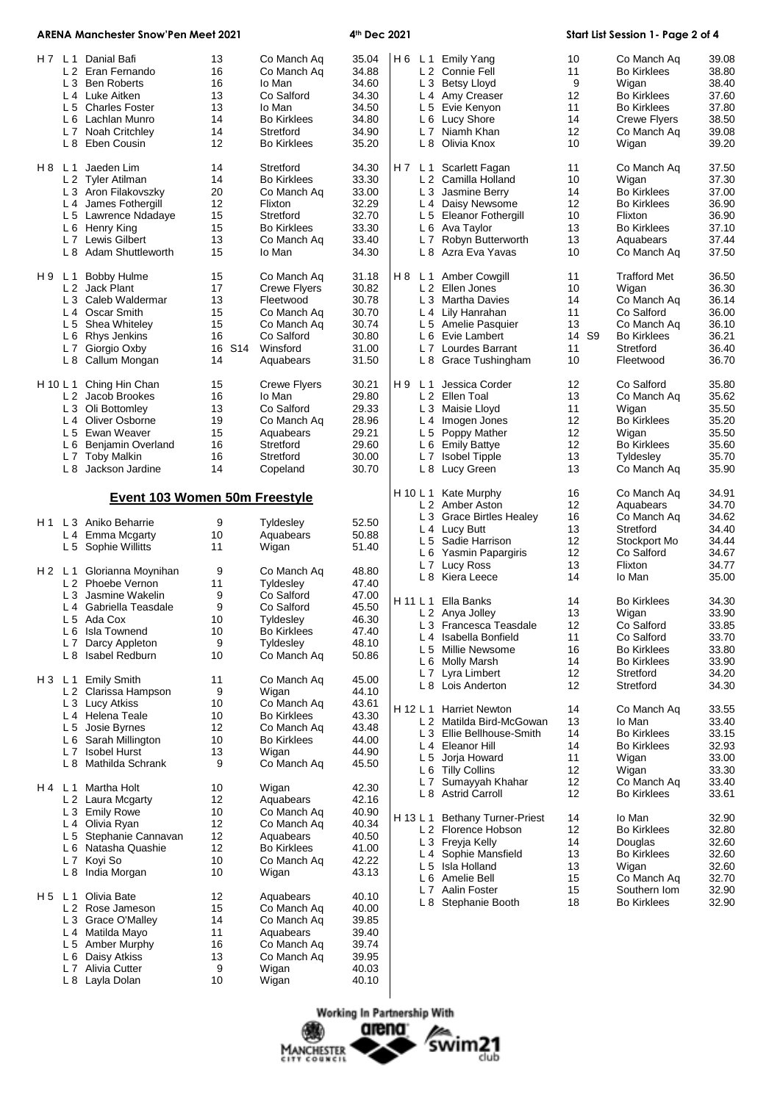| ARENA Manchester Snow'Pen Meet 2021 |                |                                                    |              | 4th Dec 2021                      |                |     |       | Start List Session 1 - Page 2 of 4          |                   |                                           |                |
|-------------------------------------|----------------|----------------------------------------------------|--------------|-----------------------------------|----------------|-----|-------|---------------------------------------------|-------------------|-------------------------------------------|----------------|
|                                     |                | H 7 L 1 Danial Bafi<br>L 2 Eran Fernando           | 13<br>16     | Co Manch Aq<br>Co Manch Aq        | 35.04<br>34.88 |     |       | H6 L1 Emily Yang<br>L 2 Connie Fell         | 10<br>11          | Co Manch Aq<br><b>Bo Kirklees</b>         | 39.08<br>38.80 |
|                                     |                | L 3 Ben Roberts                                    | 16           | Io Man                            | 34.60          |     |       | L 3 Betsy Lloyd                             | 9                 | Wigan                                     | 38.40          |
|                                     |                | L 4 Luke Aitken                                    | 13           | Co Salford                        | 34.30          |     |       | L 4 Amy Creaser                             | 12                | <b>Bo Kirklees</b>                        | 37.60          |
|                                     |                | L 5 Charles Foster<br>L 6 Lachlan Munro            | 13<br>14     | lo Man<br><b>Bo Kirklees</b>      | 34.50<br>34.80 |     |       | L 5 Evie Kenyon<br>L 6 Lucy Shore           | 11<br>14          | <b>Bo Kirklees</b><br><b>Crewe Flyers</b> | 37.80<br>38.50 |
|                                     |                | L 7 Noah Critchley                                 | 14           | Stretford                         | 34.90          |     |       | L 7 Niamh Khan                              | 12                | Co Manch Aq                               | 39.08          |
|                                     |                | L 8 Eben Cousin                                    | 12           | <b>Bo Kirklees</b>                | 35.20          |     |       | L 8 Olivia Knox                             | 10                | Wigan                                     | 39.20          |
| H 8 L 1                             |                | Jaeden Lim                                         | 14           | Stretford                         | 34.30          |     | H7 L1 | Scarlett Fagan                              | 11                | Co Manch Aq                               | 37.50          |
|                                     |                | L 2 Tyler Atilman                                  | 14           | <b>Bo Kirklees</b>                | 33.30          |     |       | L 2 Camilla Holland                         | 10                | Wigan                                     | 37.30          |
|                                     |                | L 3 Aron Filakovszky                               | 20           | Co Manch Aq                       | 33.00          |     |       | L 3 Jasmine Berry                           | 14                | <b>Bo Kirklees</b>                        | 37.00          |
|                                     |                | L 4 James Fothergill                               | 12           | Flixton                           | 32.29          |     |       | L 4 Daisy Newsome                           | 12                | <b>Bo Kirklees</b>                        | 36.90          |
|                                     |                | L 5 Lawrence Ndadaye                               | 15           | Stretford                         | 32.70          |     |       | L 5 Eleanor Fothergill                      | 10                | Flixton                                   | 36.90          |
|                                     |                | L 6 Henry King                                     | 15           | <b>Bo Kirklees</b>                | 33.30          |     |       | L 6 Ava Taylor                              | 13                | <b>Bo Kirklees</b>                        | 37.10          |
|                                     |                | L 7 Lewis Gilbert<br>L 8 Adam Shuttleworth         | 13<br>15     | Co Manch Aq<br>lo Man             | 33.40<br>34.30 |     |       | L 7 Robyn Butterworth<br>L 8 Azra Eva Yavas | 13<br>10          | Aquabears<br>Co Manch Aq                  | 37.44<br>37.50 |
| H9 L1                               |                | <b>Bobby Hulme</b>                                 | 15           | Co Manch Aq                       | 31.18          | H 8 |       | L 1 Amber Cowgill                           | 11                | <b>Trafford Met</b>                       | 36.50          |
|                                     |                | L 2 Jack Plant                                     | 17           | Crewe Flyers                      | 30.82          |     |       | L 2 Ellen Jones                             | 10                | Wigan                                     | 36.30          |
|                                     |                | L 3 Caleb Waldermar                                | 13           | Fleetwood                         | 30.78          |     |       | L 3 Martha Davies                           | 14                | Co Manch Aq                               | 36.14          |
|                                     |                | L 4 Oscar Smith                                    | 15           | Co Manch Aq                       | 30.70          |     |       | L 4 Lily Hanrahan                           | 11                | Co Salford                                | 36.00          |
|                                     |                | L 5 Shea Whiteley                                  | 15           | Co Manch Aq                       | 30.74          |     |       | L 5 Amelie Pasquier                         | 13                | Co Manch Aq                               | 36.10          |
|                                     |                | L 6 Rhys Jenkins                                   | 16           | Co Salford                        | 30.80          |     |       | L 6 Evie Lambert                            | 14 S <sub>9</sub> | <b>Bo Kirklees</b>                        | 36.21          |
|                                     |                | L 7 Giorgio Oxby<br>L 8 Callum Mongan              | 16 S14<br>14 | Winsford<br>Aquabears             | 31.00<br>31.50 |     |       | L 7 Lourdes Barrant<br>L 8 Grace Tushingham | 11<br>10          | Stretford<br>Fleetwood                    | 36.40<br>36.70 |
|                                     |                |                                                    |              |                                   |                |     |       |                                             |                   |                                           |                |
| H 10 L 1                            |                | Ching Hin Chan                                     | 15           | <b>Crewe Flyers</b>               | 30.21          | H 9 | L 1   | Jessica Corder                              | 12                | Co Salford                                | 35.80          |
|                                     |                | L 2 Jacob Brookes                                  | 16<br>13     | Io Man<br>Co Salford              | 29.80<br>29.33 |     |       | L 2 Ellen Toal                              | 13<br>11          | Co Manch Ag<br>Wigan                      | 35.62<br>35.50 |
|                                     |                | L 3 Oli Bottomley<br>L <sub>4</sub> Oliver Osborne | 19           | Co Manch Aq                       | 28.96          |     |       | L 3 Maisie Lloyd<br>L 4 Imogen Jones        | 12                | <b>Bo Kirklees</b>                        | 35.20          |
|                                     |                | L 5 Ewan Weaver                                    | 15           | Aquabears                         | 29.21          |     |       | L 5 Poppy Mather                            | 12                | Wigan                                     | 35.50          |
|                                     |                | L 6 Benjamin Overland                              | 16           | Stretford                         | 29.60          |     |       | L 6 Emily Battye                            | 12                | <b>Bo Kirklees</b>                        | 35.60          |
|                                     |                | L 7 Toby Malkin                                    | 16           | Stretford                         | 30.00          |     |       | L 7 Isobel Tipple                           | 13                | Tyldesley                                 | 35.70          |
|                                     |                | L 8 Jackson Jardine                                | 14           | Copeland                          | 30.70          |     |       | L 8 Lucy Green                              | 13                | Co Manch Aq                               | 35.90          |
|                                     |                | Event 103 Women 50m Freestyle                      |              |                                   |                |     |       | H 10 L 1 Kate Murphy                        | 16                | Co Manch Aq                               | 34.91          |
|                                     |                |                                                    |              |                                   |                |     |       | L 2 Amber Aston                             | 12                | Aquabears                                 | 34.70          |
|                                     |                | H <sub>1</sub> L <sub>3</sub> Aniko Beharrie       | 9            | Tyldesley                         | 52.50          |     |       | L 3 Grace Birtles Healey                    | 16                | Co Manch Aq<br>Stretford                  | 34.62          |
|                                     |                | L 4 Emma Mcgarty                                   | 10           | Aquabears                         | 50.88          |     |       | L 4 Lucy Butt<br>L 5 Sadie Harrison         | 13<br>12          | Stockport Mo                              | 34.40<br>34.44 |
|                                     |                | L 5 Sophie Willitts                                | 11           | Wigan                             | 51.40          |     |       | L 6 Yasmin Papargiris                       | 12                | Co Salford                                | 34.67          |
|                                     |                |                                                    |              |                                   |                |     |       | L 7 Lucy Ross                               | 13                | Flixton                                   | 34.77          |
|                                     |                | H 2 L 1 Glorianna Moynihan                         | 9            | Co Manch Ag                       | 48.80          |     |       | L 8 Kiera Leece                             | 14                | Io Man                                    | 35.00          |
|                                     |                | L 2 Phoebe Vernon<br>L 3 Jasmine Wakelin           | 11<br>9      | Tyldesley<br>Co Salford           | 47.40<br>47.00 |     |       |                                             |                   |                                           |                |
|                                     |                | L 4 Gabriella Teasdale                             | 9            | Co Salford                        | 45.50          |     |       | H 11 L 1 Ella Banks                         | 14                | <b>Bo Kirklees</b>                        | 34.30          |
|                                     |                | L 5 Ada Cox                                        | 10           | Tyldesley                         | 46.30          |     |       | L 2 Anya Jolley                             | 13                | Wigan                                     | 33.90          |
|                                     |                | L 6 Isla Townend                                   | 10           | <b>Bo Kirklees</b>                | 47.40          |     |       | L 3 Francesca Teasdale                      | 12                | Co Salford                                | 33.85          |
|                                     | L 7            | Darcy Appleton                                     | 9            | Tyldesley                         | 48.10          |     |       | L 4 Isabella Bonfield                       | 11                | Co Salford                                | 33.70          |
|                                     |                | L 8 Isabel Redburn                                 | 10           | Co Manch Aq                       | 50.86          |     |       | L 5 Millie Newsome<br>L 6 Molly Marsh       | 16<br>14          | <b>Bo Kirklees</b><br><b>Bo Kirklees</b>  | 33.80<br>33.90 |
|                                     |                |                                                    |              |                                   |                |     |       | L 7 Lyra Limbert                            | 12                | Stretford                                 | 34.20          |
| H3 L1                               |                | <b>Emily Smith</b>                                 | 11           | Co Manch Aq                       | 45.00          |     |       | L 8 Lois Anderton                           | 12                | Stretford                                 | 34.30          |
|                                     |                | L 2 Clarissa Hampson                               | 9            | Wigan                             | 44.10          |     |       |                                             |                   |                                           |                |
|                                     |                | L 3 Lucy Atkiss                                    | 10           | Co Manch Aq                       | 43.61          |     |       | H 12 L 1 Harriet Newton                     | 14                | Co Manch Aq                               | 33.55          |
|                                     |                | L 4 Helena Teale                                   | 10           | <b>Bo Kirklees</b>                | 43.30          |     |       | L 2 Matilda Bird-McGowan                    | 13                | lo Man                                    | 33.40          |
|                                     |                | L 5 Josie Byrnes<br>L 6 Sarah Millington           | 12<br>10     | Co Manch Aq<br><b>Bo Kirklees</b> | 43.48<br>44.00 |     |       | L 3 Ellie Bellhouse-Smith                   | 14                | <b>Bo Kirklees</b>                        | 33.15          |
|                                     |                | L 7 Isobel Hurst                                   | 13           | Wigan                             | 44.90          |     |       | L 4 Eleanor Hill                            | 14                | <b>Bo Kirklees</b>                        | 32.93          |
|                                     |                | L 8 Mathilda Schrank                               | 9            | Co Manch Aq                       | 45.50          |     |       | L 5 Jorja Howard                            | 11                | Wigan                                     | 33.00          |
|                                     |                |                                                    |              |                                   |                |     |       | L 6 Tilly Collins                           | 12                | Wigan                                     | 33.30          |
| H4 L1                               |                | Martha Holt                                        | 10           | Wigan                             | 42.30          |     |       | L 7 Sumayyah Khahar                         | 12                | Co Manch Aq                               | 33.40          |
|                                     |                | L 2 Laura Mcgarty                                  | 12           | Aquabears                         | 42.16          |     |       | L 8 Astrid Carroll                          | 12                | <b>Bo Kirklees</b>                        | 33.61          |
|                                     |                | L 3 Emily Rowe                                     | 10           | Co Manch Aq                       | 40.90          |     |       | H 13 L 1 Bethany Turner-Priest              | 14                | lo Man                                    | 32.90          |
|                                     |                | L 4 Olivia Ryan                                    | 12           | Co Manch Aq                       | 40.34          |     |       | L 2 Florence Hobson                         | 12                | <b>Bo Kirklees</b>                        | 32.80          |
|                                     |                | L 5 Stephanie Cannavan                             | 12           | Aquabears                         | 40.50          |     |       | L 3 Freyja Kelly                            | 14                | Douglas                                   | 32.60          |
|                                     |                | L 6 Natasha Quashie                                | 12           | <b>Bo Kirklees</b>                | 41.00          |     |       | L 4 Sophie Mansfield                        | 13                | <b>Bo Kirklees</b>                        | 32.60          |
|                                     |                | L 7 Koyi So<br>L 8 India Morgan                    | 10<br>10     | Co Manch Aq<br>Wigan              | 42.22<br>43.13 |     |       | L 5 Isla Holland                            | 13                | Wigan                                     | 32.60          |
|                                     |                |                                                    |              |                                   |                |     |       | L 6 Amelie Bell                             | 15                | Co Manch Aq                               | 32.70          |
| H 5                                 | L 1            | Olivia Bate                                        | 12           | Aquabears                         | 40.10          |     |       | L 7 Aalin Foster<br>L 8 Stephanie Booth     | 15<br>18          | Southern Iom<br><b>Bo Kirklees</b>        | 32.90<br>32.90 |
|                                     |                | L 2 Rose Jameson                                   | 15           | Co Manch Aq                       | 40.00          |     |       |                                             |                   |                                           |                |
|                                     |                | L 3 Grace O'Malley                                 | 14           | Co Manch Aq                       | 39.85          |     |       |                                             |                   |                                           |                |
|                                     |                | L 4 Matilda Mayo                                   | 11           | Aquabears                         | 39.40          |     |       |                                             |                   |                                           |                |
|                                     |                | L 5 Amber Murphy<br>L 6 Daisy Atkiss               | 16<br>13     | Co Manch Aq<br>Co Manch Aq        | 39.74<br>39.95 |     |       |                                             |                   |                                           |                |
|                                     | L <sub>7</sub> | Alivia Cutter                                      | 9            | Wigan                             | 40.03          |     |       |                                             |                   |                                           |                |
|                                     |                | L 8 Layla Dolan                                    | 10           | Wigan                             | 40.10          |     |       |                                             |                   |                                           |                |
|                                     |                |                                                    |              |                                   |                |     |       |                                             |                   |                                           |                |

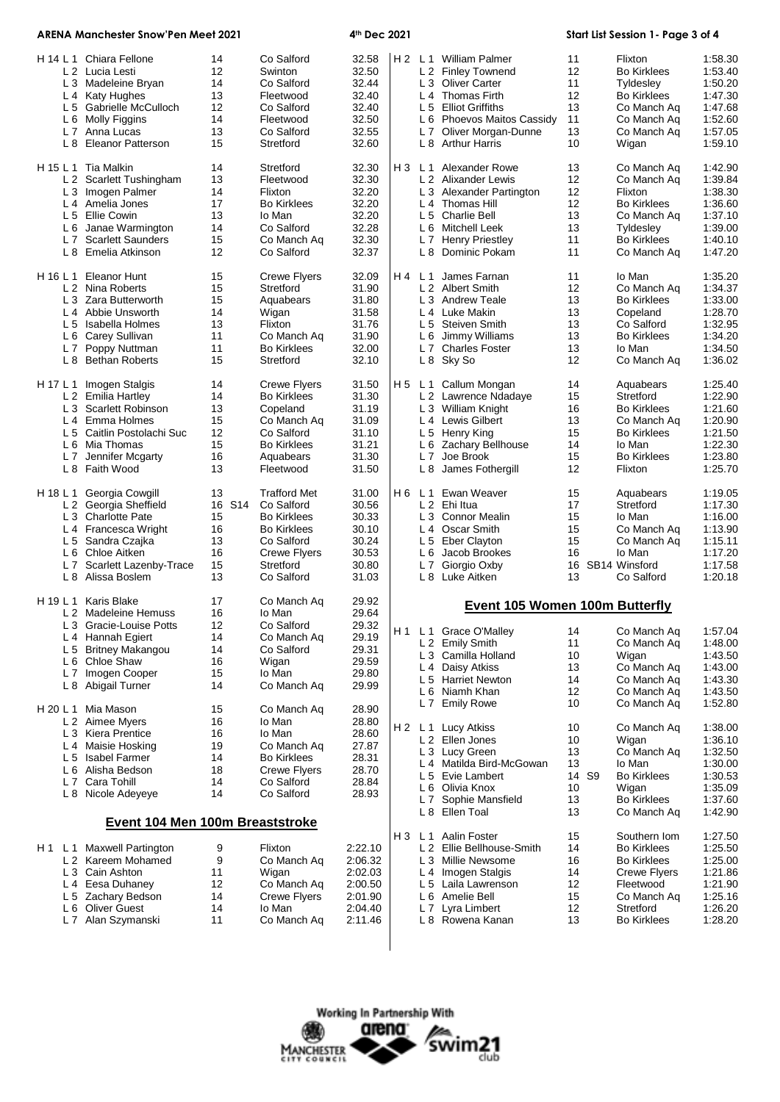| <b>ARENA Manchester Snow'Pen Meet 2021</b>                                                                                                                                                                         |                                                  | 4th Dec 2021                                                                                                                       |                                                                           |                |                | Start List Session 1- Page 3 of 4                                                                                                                                                                      |                                                       |                                                                                                                                         |                                                                                                 |
|--------------------------------------------------------------------------------------------------------------------------------------------------------------------------------------------------------------------|--------------------------------------------------|------------------------------------------------------------------------------------------------------------------------------------|---------------------------------------------------------------------------|----------------|----------------|--------------------------------------------------------------------------------------------------------------------------------------------------------------------------------------------------------|-------------------------------------------------------|-----------------------------------------------------------------------------------------------------------------------------------------|-------------------------------------------------------------------------------------------------|
| H 14 L 1 Chiara Fellone<br>L 2 Lucia Lesti<br>L 3 Madeleine Bryan<br>L 4 Katy Hughes<br>L 5 Gabrielle McCulloch<br>L 6 Molly Figgins<br>L 7 Anna Lucas<br>L 8 Eleanor Patterson                                    | 14<br>12<br>14<br>13<br>12<br>14<br>13<br>15     | Co Salford<br>Swinton<br>Co Salford<br>Fleetwood<br>Co Salford<br>Fleetwood<br>Co Salford<br>Stretford                             | 32.58<br>32.50<br>32.44<br>32.40<br>32.40<br>32.50<br>32.55<br>32.60      |                |                | H 2 L 1 William Palmer<br>L 2 Finley Townend<br>L 3 Oliver Carter<br>L <sub>4</sub> Thomas Firth<br>L 5 Elliot Griffiths<br>L 6 Phoevos Maitos Cassidy<br>L 7 Oliver Morgan-Dunne<br>L 8 Arthur Harris | 11<br>12<br>11<br>12<br>13<br>11<br>13<br>10          | Flixton<br><b>Bo Kirklees</b><br>Tyldesley<br><b>Bo Kirklees</b><br>Co Manch Aq<br>Co Manch Aq<br>Co Manch Aq<br>Wigan                  | 1:58.30<br>1:53.40<br>1:50.20<br>1:47.30<br>1:47.68<br>1:52.60<br>1:57.05<br>1:59.10            |
| H 15 L 1<br>Tia Malkin<br>L 2 Scarlett Tushingham<br>L 3 Imogen Palmer<br>L 4 Amelia Jones<br>L 5 Ellie Cowin<br>L 6 Janae Warmington<br>L 7 Scarlett Saunders<br>L 8 Emelia Atkinson                              | 14<br>13<br>14<br>17<br>13<br>14<br>15<br>12     | Stretford<br>Fleetwood<br>Flixton<br><b>Bo Kirklees</b><br>lo Man<br>Co Salford<br>Co Manch Aq<br>Co Salford                       | 32.30<br>32.30<br>32.20<br>32.20<br>32.20<br>32.28<br>32.30<br>32.37      | H 3            | L 1            | <b>Alexander Rowe</b><br>L 2 Alixander Lewis<br>L 3 Alexander Partington<br>L <sub>4</sub> Thomas Hill<br>L 5 Charlie Bell<br>L 6 Mitchell Leek<br>L 7 Henry Priestley<br>L 8 Dominic Pokam            | 13<br>12<br>12<br>12<br>13<br>13<br>11<br>11          | Co Manch Aq<br>Co Manch Aq<br>Flixton<br><b>Bo Kirklees</b><br>Co Manch Aq<br>Tyldesley<br><b>Bo Kirklees</b><br>Co Manch Aq            | 1:42.90<br>1:39.84<br>1:38.30<br>1:36.60<br>1:37.10<br>1:39.00<br>1:40.10<br>1:47.20            |
| H 16 L 1 Eleanor Hunt<br>L 2 Nina Roberts<br>L 3 Zara Butterworth<br>L <sub>4</sub> Abbie Unsworth<br>L 5 Isabella Holmes<br>L 6 Carey Sullivan<br>L 7 Poppy Nuttman<br>L 8 Bethan Roberts                         | 15<br>15<br>15<br>14<br>13<br>11<br>11<br>15     | <b>Crewe Flyers</b><br>Stretford<br>Aquabears<br>Wigan<br>Flixton<br>Co Manch Aq<br><b>Bo Kirklees</b><br>Stretford                | 32.09<br>31.90<br>31.80<br>31.58<br>31.76<br>31.90<br>32.00<br>32.10      |                | H4 L1          | James Farnan<br>L 2 Albert Smith<br>L 3 Andrew Teale<br>L 4 Luke Makin<br>L 5 Steiven Smith<br>L 6 Jimmy Williams<br>L 7 Charles Foster<br>L 8 Sky So                                                  | 11<br>12<br>13<br>13<br>13<br>13<br>13<br>12          | lo Man<br>Co Manch Aq<br><b>Bo Kirklees</b><br>Copeland<br>Co Salford<br><b>Bo Kirklees</b><br>lo Man<br>Co Manch Aq                    | 1:35.20<br>1:34.37<br>1:33.00<br>1:28.70<br>1:32.95<br>1:34.20<br>1:34.50<br>1:36.02            |
| Imogen Stalgis<br>H 17 L 1<br>L 2 Emilia Hartley<br>L 3 Scarlett Robinson<br>L 4 Emma Holmes<br>L 5 Caitlin Postolachi Suc<br>L 6 Mia Thomas<br>L 7 Jennifer Mcgarty<br>L 8 Faith Wood                             | 14<br>14<br>13<br>15<br>12<br>15<br>16<br>13     | <b>Crewe Flyers</b><br><b>Bo Kirklees</b><br>Copeland<br>Co Manch Aq<br>Co Salford<br><b>Bo Kirklees</b><br>Aquabears<br>Fleetwood | 31.50<br>31.30<br>31.19<br>31.09<br>31.10<br>31.21<br>31.30<br>31.50      |                |                | H 5 L 1 Callum Mongan<br>L 2 Lawrence Ndadaye<br>L 3 William Knight<br>L <sub>4</sub> Lewis Gilbert<br>L 5 Henry King<br>L 6 Zachary Bellhouse<br>L 7 Joe Brook<br>L 8 James Fothergill                | 14<br>15<br>16<br>13<br>15<br>14<br>15<br>12          | Aquabears<br>Stretford<br><b>Bo Kirklees</b><br>Co Manch Aq<br><b>Bo Kirklees</b><br>lo Man<br><b>Bo Kirklees</b><br>Flixton            | 1:25.40<br>1:22.90<br>1:21.60<br>1:20.90<br>1:21.50<br>1:22.30<br>1:23.80<br>1:25.70            |
| H 18 L 1 Georgia Cowgill<br>L 2 Georgia Sheffield<br>L 3 Charlotte Pate<br>L 4 Francesca Wright<br>L 5 Sandra Czajka<br>L 6 Chloe Aitken<br>L 7 Scarlett Lazenby-Trace<br>L 8 Alissa Boslem                        | 13<br>16 S14<br>15<br>16<br>13<br>16<br>15<br>13 | Trafford Met<br>Co Salford<br><b>Bo Kirklees</b><br><b>Bo Kirklees</b><br>Co Salford<br>Crewe Flyers<br>Stretford<br>Co Salford    | 31.00<br>30.56<br>30.33<br>30.10<br>30.24<br>30.53<br>30.80<br>31.03      |                |                | H6 L1 Ewan Weaver<br>L 2 Ehi Itua<br>L 3 Connor Mealin<br>L 4 Oscar Smith<br>L 5 Eber Clayton<br>L 6 Jacob Brookes<br>L 7 Giorgio Oxby<br>L 8 Luke Aitken                                              | 15<br>17<br>15<br>15<br>15<br>16<br>16<br>13          | Aquabears<br>Stretford<br>lo Man<br>Co Manch Aq<br>Co Manch Ag<br>lo Man<br>SB14 Winsford<br>Co Salford                                 | 1:19.05<br>1:17.30<br>1:16.00<br>1:13.90<br>1:15.11<br>1:17.20<br>1:17.58<br>1:20.18            |
| H 19 L 1 Karis Blake<br>L 2 Madeleine Hemuss<br>L 3 Gracie-Louise Potts<br>L 4 Hannah Egiert<br>L 5 Britney Makangou<br>L 6 Chloe Shaw<br>L7 Imogen Cooper<br>L 8 Abigail Turner                                   | 17<br>16<br>12<br>14<br>14<br>16<br>15<br>14     | Co Manch Ag<br>lo Man<br>Co Salford<br>Co Manch Aq<br>Co Salford<br>Wigan<br>lo Man<br>Co Manch Aq                                 | 29.92<br>29.64<br>29.32<br>29.19<br>29.31<br>29.59<br>29.80<br>29.99      |                |                | Event 105 Women 100m Butterfly<br>H1 L1 Grace O'Malley<br>L 2 Emily Smith<br>L 3 Camilla Holland<br>L 4 Daisy Atkiss<br>L 5 Harriet Newton<br>L 6 Niamh Khan                                           | 14<br>11<br>10<br>13<br>14<br>12                      | Co Manch Aq<br>Co Manch Aq<br>Wigan<br>Co Manch Ag<br>Co Manch Aq<br>Co Manch Aq                                                        | 1:57.04<br>1:48.00<br>1:43.50<br>1:43.00<br>1:43.30<br>1:43.50                                  |
| Mia Mason<br>H 20 L 1<br>L 2 Aimee Myers<br>L 3 Kiera Prentice<br>L 4 Maisie Hosking<br>L 5 Isabel Farmer<br>L 6 Alisha Bedson<br>L 7 Cara Tohill<br>L 8 Nicole Adeyeye                                            | 15<br>16<br>16<br>19<br>14<br>18<br>14<br>14     | Co Manch Aq<br>lo Man<br>lo Man<br>Co Manch Aq<br><b>Bo Kirklees</b><br>Crewe Flyers<br>Co Salford<br>Co Salford                   | 28.90<br>28.80<br>28.60<br>27.87<br>28.31<br>28.70<br>28.84<br>28.93      |                | L <sub>7</sub> | L 7 Emily Rowe<br>H 2 L 1 Lucy Atkiss<br>L 2 Ellen Jones<br>L 3 Lucy Green<br>L 4 Matilda Bird-McGowan<br>L 5 Evie Lambert<br>L 6 Olivia Knox<br>Sophie Mansfield<br>L 8 Ellen Toal                    | 10<br>10<br>10<br>13<br>13<br>14 S9<br>10<br>13<br>13 | Co Manch Aq<br>Co Manch Aq<br>Wigan<br>Co Manch Aq<br>lo Man<br><b>Bo Kirklees</b><br>Wigan<br><b>Bo Kirklees</b><br>Co Manch Aq        | 1:52.80<br>1:38.00<br>1:36.10<br>1:32.50<br>1:30.00<br>1:30.53<br>1:35.09<br>1:37.60<br>1:42.90 |
| Event 104 Men 100m Breaststroke<br><b>Maxwell Partington</b><br>H 1<br>L <sub>1</sub><br>L 2 Kareem Mohamed<br>L 3 Cain Ashton<br>L 4 Eesa Duhaney<br>L 5 Zachary Bedson<br>L 6 Oliver Guest<br>L 7 Alan Szymanski | 9<br>9<br>11<br>12<br>14<br>14<br>11             | Flixton<br>Co Manch Aq<br>Wigan<br>Co Manch Aq<br><b>Crewe Flyers</b><br>lo Man<br>Co Manch Aq                                     | 2:22.10<br>2:06.32<br>2:02.03<br>2:00.50<br>2:01.90<br>2:04.40<br>2:11.46 | H <sub>3</sub> | L <sub>1</sub> | Aalin Foster<br>L 2 Ellie Bellhouse-Smith<br>L 3 Millie Newsome<br>L 4 Imogen Stalgis<br>L 5 Laila Lawrenson<br>L 6 Amelie Bell<br>L 7 Lyra Limbert<br>L 8 Rowena Kanan                                | 15<br>14<br>16<br>14<br>12<br>15<br>12<br>13          | Southern Iom<br><b>Bo Kirklees</b><br><b>Bo Kirklees</b><br>Crewe Flyers<br>Fleetwood<br>Co Manch Aq<br>Stretford<br><b>Bo Kirklees</b> | 1:27.50<br>1:25.50<br>1:25.00<br>1:21.86<br>1:21.90<br>1:25.16<br>1:26.20<br>1:28.20            |